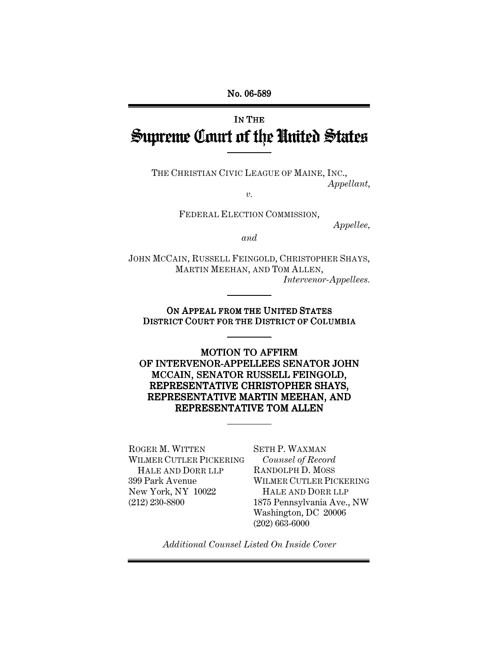No. 06-589

# IN THE Supreme Court of the United States

THE CHRISTIAN CIVIC LEAGUE OF MAINE, INC., *Appellant*,

*v.*

FEDERAL ELECTION COMMISSION,

*Appellee,*

*and*

JOHN MCCAIN, RUSSELL FEINGOLD, CHRISTOPHER SHAYS, MARTIN MEEHAN, AND TOM ALLEN, *Intervenor-Appellees.*

### ON APPEAL FROM THE UNITED STATES DISTRICT COURT FOR THE DISTRICT OF COLUMBIA

MOTION TO AFFIRM OF INTERVENOR-APPELLEES SENATOR JOHN MCCAIN, SENATOR RUSSELL FEINGOLD, REPRESENTATIVE CHRISTOPHER SHAYS, REPRESENTATIVE MARTIN MEEHAN, AND REPRESENTATIVE TOM ALLEN

ROGER M. WITTEN WILMER CUTLER PICKERING HALE AND DORR LLP 399 Park Avenue New York, NY 10022 (212) 230-8800

SETH P. WAXMAN *Counsel of Record* RANDOLPH D. MOSS WILMER CUTLER PICKERING HALE AND DORR LLP 1875 Pennsylvania Ave., NW Washington, DC 20006 (202) 663-6000

*Additional Counsel Listed On Inside Cover*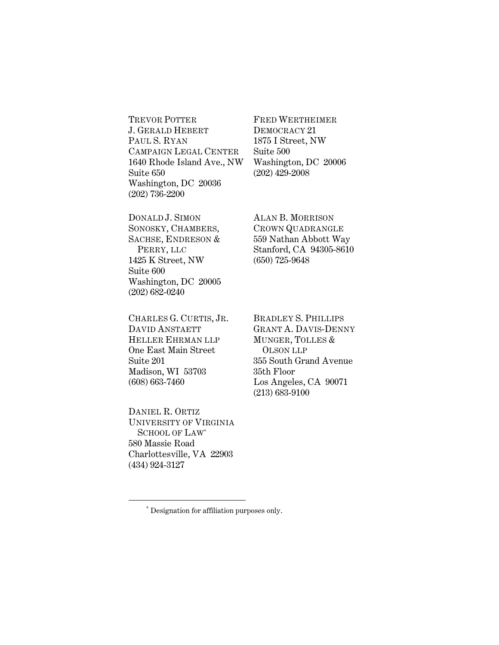TREVOR POTTER J. GERALD HEBERT PAUL S. RYAN CAMPAIGN LEGAL CENTER 1640 Rhode Island Ave., NW Suite 650 Washington, DC 20036 (202) 736-2200

FRED WERTHEIMER DEMOCRACY 21 1875 I Street, NW Suite 500 Washington, DC 20006 (202) 429-2008

DONALD J. SIMON SONOSKY, CHAMBERS, SACHSE, ENDRESON & PERRY, LLC 1425 K Street, NW Suite 600 Washington, DC 20005 (202) 682-0240

CHARLES G. CURTIS, JR. DAVID ANSTAETT HELLER EHRMAN LLP One East Main Street Suite 201 Madison, WI 53703 (608) 663-7460

DANIEL R. ORTIZ UNIVERSITY OF VIRGINIA SCHOOL OF LAW<sup>\*</sup> 580 Massie Road Charlottesville, VA 22903 (434) 924-3127

 $\overline{a}$ 

ALAN B. MORRISON CROWN QUADRANGLE 559 Nathan Abbott Way Stanford, CA 94305-8610 (650) 725-9648

BRADLEY S. PHILLIPS GRANT A. DAVIS-DENNY MUNGER, TOLLES & OLSON LLP 355 South Grand Avenue 35th Floor Los Angeles, CA 90071 (213) 683-9100

<sup>∗</sup> Designation for affiliation purposes only.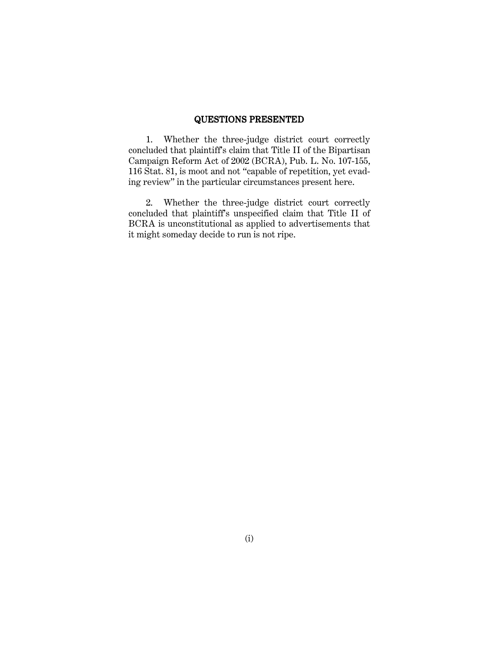#### QUESTIONS PRESENTED

1. Whether the three-judge district court correctly concluded that plaintiff's claim that Title II of the Bipartisan Campaign Reform Act of 2002 (BCRA), Pub. L. No. 107-155, 116 Stat. 81, is moot and not "capable of repetition, yet evading review" in the particular circumstances present here.

2. Whether the three-judge district court correctly concluded that plaintiff's unspecified claim that Title II of BCRA is unconstitutional as applied to advertisements that it might someday decide to run is not ripe.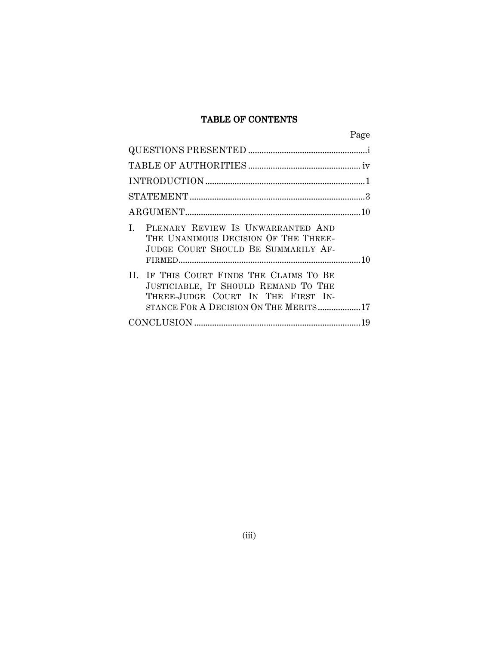### TABLE OF CONTENTS

|                                                                                                                                                                 | Page |
|-----------------------------------------------------------------------------------------------------------------------------------------------------------------|------|
|                                                                                                                                                                 |      |
|                                                                                                                                                                 |      |
|                                                                                                                                                                 |      |
|                                                                                                                                                                 |      |
|                                                                                                                                                                 |      |
| I. PLENARY REVIEW IS UNWARRANTED AND<br>THE UNANIMOUS DECISION OF THE THREE-<br>JUDGE COURT SHOULD BE SUMMARILY AF-                                             |      |
| II. IF THIS COURT FINDS THE CLAIMS TO BE<br>JUSTICIABLE, IT SHOULD REMAND TO THE<br>THREE-JUDGE COURT IN THE FIRST IN-<br>STANCE FOR A DECISION ON THE MERITS17 |      |
|                                                                                                                                                                 |      |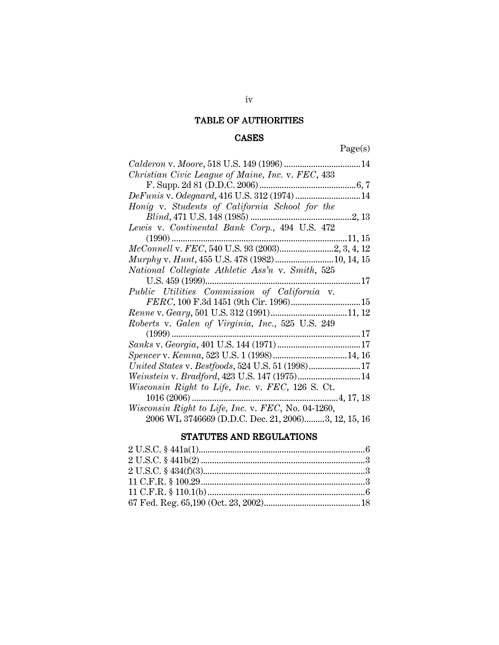# TABLE OF AUTHORITIES

# CASES

Page(s)

| Christian Civic League of Maine, Inc. v. FEC, 433   |
|-----------------------------------------------------|
|                                                     |
| DeFunis v. Odegaard, 416 U.S. 312 (1974)  14        |
| Honig v. Students of California School for the      |
|                                                     |
| Lewis v. Continental Bank Corp., 494 U.S. 472       |
| $(1990)$                                            |
|                                                     |
| Murphy v. Hunt, 455 U.S. 478 (1982) 10, 14, 15      |
| National Collegiate Athletic Ass'n v. Smith, 525    |
| U.S. 459 (1999)                                     |
| Public Utilities Commission of California v.        |
|                                                     |
|                                                     |
| Roberts v. Galen of Virginia, Inc., 525 U.S. 249    |
| $(1999)$<br>17<br>.                                 |
|                                                     |
|                                                     |
| United States v. Bestfoods, 524 U.S. 51 (1998)17    |
|                                                     |
| Wisconsin Right to Life, Inc. v. FEC, 126 S. Ct.    |
| $1016(2006)$<br>4, 17, 18                           |
| Wisconsin Right to Life, Inc. v. FEC, No. 04-1260,  |
| 2006 WL 3746669 (D.D.C. Dec. 21, 2006)3, 12, 15, 16 |

# STATUTES AND REGULATIONS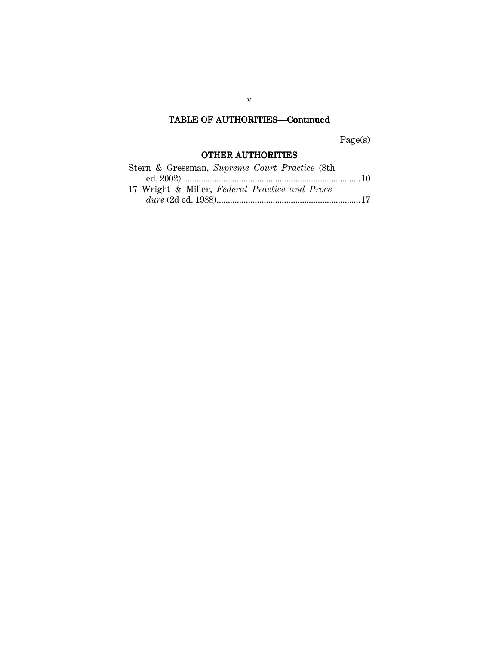# TABLE OF AUTHORITIES—Continued

Page(s)

# OTHER AUTHORITIES

| Stern & Gressman, Supreme Court Practice (8th   |  |
|-------------------------------------------------|--|
|                                                 |  |
| 17 Wright & Miller, Federal Practice and Proce- |  |
|                                                 |  |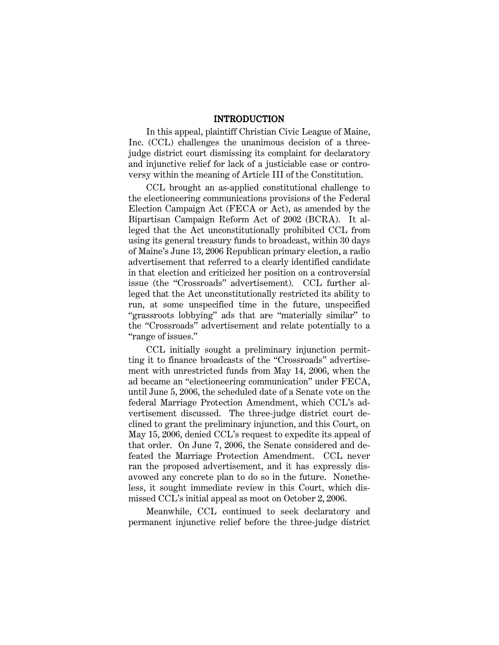#### INTRODUCTION

In this appeal, plaintiff Christian Civic League of Maine, Inc. (CCL) challenges the unanimous decision of a threejudge district court dismissing its complaint for declaratory and injunctive relief for lack of a justiciable case or controversy within the meaning of Article III of the Constitution.

CCL brought an as-applied constitutional challenge to the electioneering communications provisions of the Federal Election Campaign Act (FECA or Act), as amended by the Bipartisan Campaign Reform Act of 2002 (BCRA). It alleged that the Act unconstitutionally prohibited CCL from using its general treasury funds to broadcast, within 30 days of Maine's June 13, 2006 Republican primary election, a radio advertisement that referred to a clearly identified candidate in that election and criticized her position on a controversial issue (the "Crossroads" advertisement). CCL further alleged that the Act unconstitutionally restricted its ability to run, at some unspecified time in the future, unspecified "grassroots lobbying" ads that are "materially similar" to the "Crossroads" advertisement and relate potentially to a "range of issues."

CCL initially sought a preliminary injunction permitting it to finance broadcasts of the "Crossroads" advertisement with unrestricted funds from May 14, 2006, when the ad became an "electioneering communication" under FECA, until June 5, 2006, the scheduled date of a Senate vote on the federal Marriage Protection Amendment, which CCL's advertisement discussed. The three-judge district court declined to grant the preliminary injunction, and this Court, on May 15, 2006, denied CCL's request to expedite its appeal of that order. On June 7, 2006, the Senate considered and defeated the Marriage Protection Amendment. CCL never ran the proposed advertisement, and it has expressly disavowed any concrete plan to do so in the future. Nonetheless, it sought immediate review in this Court, which dismissed CCL's initial appeal as moot on October 2, 2006.

Meanwhile, CCL continued to seek declaratory and permanent injunctive relief before the three-judge district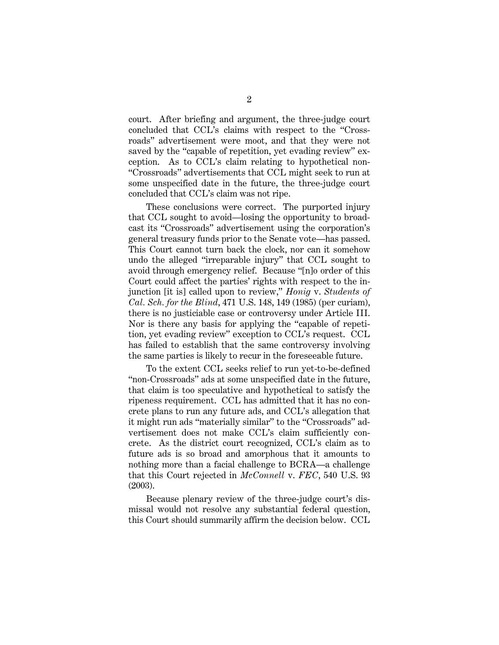court. After briefing and argument, the three-judge court concluded that CCL's claims with respect to the "Crossroads" advertisement were moot, and that they were not saved by the "capable of repetition, yet evading review" exception. As to CCL's claim relating to hypothetical non- "Crossroads" advertisements that CCL might seek to run at some unspecified date in the future, the three-judge court concluded that CCL's claim was not ripe.

These conclusions were correct. The purported injury that CCL sought to avoid—losing the opportunity to broadcast its "Crossroads" advertisement using the corporation's general treasury funds prior to the Senate vote—has passed. This Court cannot turn back the clock, nor can it somehow undo the alleged "irreparable injury" that CCL sought to avoid through emergency relief. Because "[n]o order of this Court could affect the parties' rights with respect to the injunction [it is] called upon to review," *Honig* v. *Students of Cal. Sch. for the Blind*, 471 U.S. 148, 149 (1985) (per curiam), there is no justiciable case or controversy under Article III. Nor is there any basis for applying the "capable of repetition, yet evading review" exception to CCL's request. CCL has failed to establish that the same controversy involving the same parties is likely to recur in the foreseeable future.

To the extent CCL seeks relief to run yet-to-be-defined "non-Crossroads" ads at some unspecified date in the future, that claim is too speculative and hypothetical to satisfy the ripeness requirement. CCL has admitted that it has no concrete plans to run any future ads, and CCL's allegation that it might run ads "materially similar" to the "Crossroads" advertisement does not make CCL's claim sufficiently concrete. As the district court recognized, CCL's claim as to future ads is so broad and amorphous that it amounts to nothing more than a facial challenge to BCRA—a challenge that this Court rejected in *McConnell* v. *FEC*, 540 U.S. 93 (2003).

Because plenary review of the three-judge court's dismissal would not resolve any substantial federal question, this Court should summarily affirm the decision below. CCL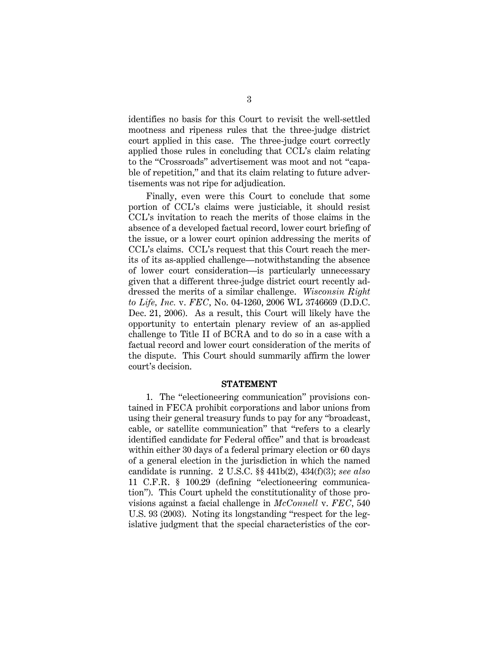identifies no basis for this Court to revisit the well-settled mootness and ripeness rules that the three-judge district court applied in this case. The three-judge court correctly applied those rules in concluding that CCL's claim relating to the "Crossroads" advertisement was moot and not "capable of repetition," and that its claim relating to future advertisements was not ripe for adjudication.

Finally, even were this Court to conclude that some portion of CCL's claims were justiciable, it should resist CCL's invitation to reach the merits of those claims in the absence of a developed factual record, lower court briefing of the issue, or a lower court opinion addressing the merits of CCL's claims. CCL's request that this Court reach the merits of its as-applied challenge—notwithstanding the absence of lower court consideration—is particularly unnecessary given that a different three-judge district court recently addressed the merits of a similar challenge. *Wisconsin Right to Life, Inc.* v. *FEC*, No. 04-1260, 2006 WL 3746669 (D.D.C. Dec. 21, 2006). As a result, this Court will likely have the opportunity to entertain plenary review of an as-applied challenge to Title II of BCRA and to do so in a case with a factual record and lower court consideration of the merits of the dispute. This Court should summarily affirm the lower court's decision.

#### STATEMENT

1. The "electioneering communication" provisions contained in FECA prohibit corporations and labor unions from using their general treasury funds to pay for any "broadcast, cable, or satellite communication" that "refers to a clearly identified candidate for Federal office" and that is broadcast within either 30 days of a federal primary election or 60 days of a general election in the jurisdiction in which the named candidate is running. 2 U.S.C. §§ 441b(2), 434(f)(3); *see also* 11 C.F.R. § 100.29 (defining "electioneering communication"). This Court upheld the constitutionality of those provisions against a facial challenge in *McConnell* v. *FEC*, 540 U.S. 93 (2003). Noting its longstanding "respect for the legislative judgment that the special characteristics of the cor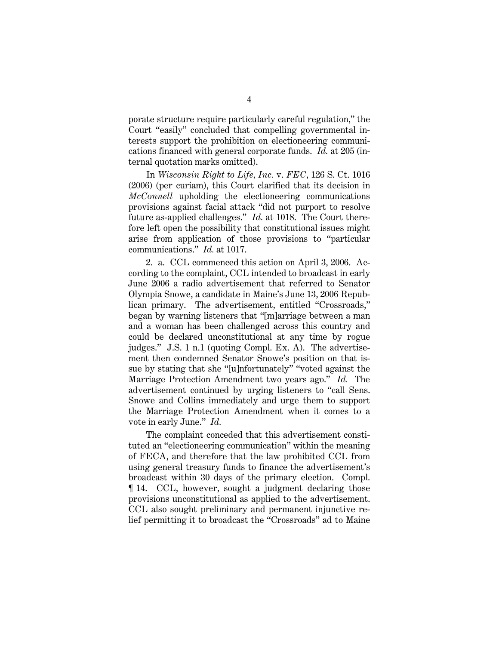porate structure require particularly careful regulation," the Court "easily" concluded that compelling governmental interests support the prohibition on electioneering communications financed with general corporate funds. *Id.* at 205 (internal quotation marks omitted).

In *Wisconsin Right to Life, Inc.* v. *FEC*, 126 S. Ct. 1016 (2006) (per curiam), this Court clarified that its decision in *McConnell* upholding the electioneering communications provisions against facial attack "did not purport to resolve future as-applied challenges." *Id.* at 1018. The Court therefore left open the possibility that constitutional issues might arise from application of those provisions to "particular communications." *Id.* at 1017.

2. a. CCL commenced this action on April 3, 2006. According to the complaint, CCL intended to broadcast in early June 2006 a radio advertisement that referred to Senator Olympia Snowe, a candidate in Maine's June 13, 2006 Republican primary. The advertisement, entitled "Crossroads," began by warning listeners that "[m]arriage between a man and a woman has been challenged across this country and could be declared unconstitutional at any time by rogue judges." J.S. 1 n.1 (quoting Compl. Ex. A). The advertisement then condemned Senator Snowe's position on that issue by stating that she "[u]nfortunately" "voted against the Marriage Protection Amendment two years ago." *Id.* The advertisement continued by urging listeners to "call Sens. Snowe and Collins immediately and urge them to support the Marriage Protection Amendment when it comes to a vote in early June." *Id.*

The complaint conceded that this advertisement constituted an "electioneering communication" within the meaning of FECA, and therefore that the law prohibited CCL from using general treasury funds to finance the advertisement's broadcast within 30 days of the primary election. Compl. ¶ 14. CCL, however, sought a judgment declaring those provisions unconstitutional as applied to the advertisement. CCL also sought preliminary and permanent injunctive relief permitting it to broadcast the "Crossroads" ad to Maine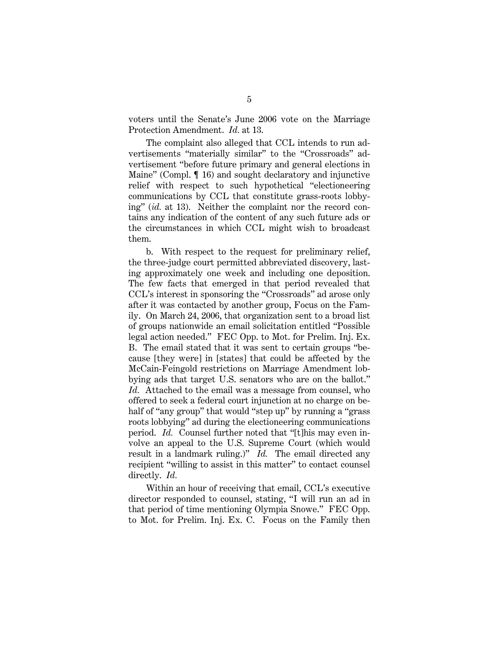voters until the Senate's June 2006 vote on the Marriage Protection Amendment. *Id.* at 13.

The complaint also alleged that CCL intends to run advertisements "materially similar" to the "Crossroads" advertisement "before future primary and general elections in Maine" (Compl. ¶ 16) and sought declaratory and injunctive relief with respect to such hypothetical "electioneering communications by CCL that constitute grass-roots lobbying" (*id.* at 13). Neither the complaint nor the record contains any indication of the content of any such future ads or the circumstances in which CCL might wish to broadcast them.

b. With respect to the request for preliminary relief, the three-judge court permitted abbreviated discovery, lasting approximately one week and including one deposition. The few facts that emerged in that period revealed that CCL's interest in sponsoring the "Crossroads" ad arose only after it was contacted by another group, Focus on the Family. On March 24, 2006, that organization sent to a broad list of groups nationwide an email solicitation entitled "Possible legal action needed." FEC Opp. to Mot. for Prelim. Inj. Ex. B. The email stated that it was sent to certain groups "because [they were] in [states] that could be affected by the McCain-Feingold restrictions on Marriage Amendment lobbying ads that target U.S. senators who are on the ballot." *Id.* Attached to the email was a message from counsel, who offered to seek a federal court injunction at no charge on behalf of "any group" that would "step up" by running a "grass" roots lobbying" ad during the electioneering communications period. *Id.* Counsel further noted that "[t]his may even involve an appeal to the U.S. Supreme Court (which would result in a landmark ruling.)" *Id.* The email directed any recipient "willing to assist in this matter" to contact counsel directly. *Id.*

Within an hour of receiving that email, CCL's executive director responded to counsel, stating, "I will run an ad in that period of time mentioning Olympia Snowe." FEC Opp. to Mot. for Prelim. Inj. Ex. C. Focus on the Family then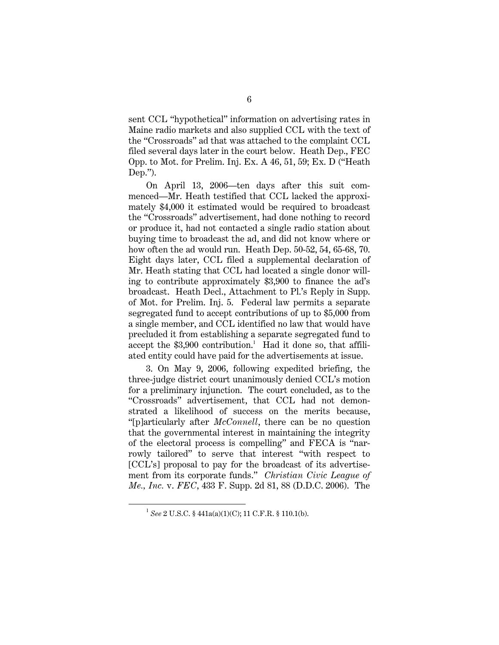sent CCL "hypothetical" information on advertising rates in Maine radio markets and also supplied CCL with the text of the "Crossroads" ad that was attached to the complaint CCL filed several days later in the court below. Heath Dep., FEC Opp. to Mot. for Prelim. Inj. Ex. A 46, 51, 59; Ex. D ("Heath Dep.").

On April 13, 2006—ten days after this suit commenced—Mr. Heath testified that CCL lacked the approximately \$4,000 it estimated would be required to broadcast the "Crossroads" advertisement, had done nothing to record or produce it, had not contacted a single radio station about buying time to broadcast the ad, and did not know where or how often the ad would run. Heath Dep. 50-52, 54, 65-68, 70. Eight days later, CCL filed a supplemental declaration of Mr. Heath stating that CCL had located a single donor willing to contribute approximately \$3,900 to finance the ad's broadcast. Heath Decl., Attachment to Pl.'s Reply in Supp. of Mot. for Prelim. Inj. 5. Federal law permits a separate segregated fund to accept contributions of up to \$5,000 from a single member, and CCL identified no law that would have precluded it from establishing a separate segregated fund to accept the \$3,900 contribution. <sup>1</sup> Had it done so, that affiliated entity could have paid for the advertisements at issue.

3. On May 9, 2006, following expedited briefing, the three-judge district court unanimously denied CCL's motion for a preliminary injunction. The court concluded, as to the "Crossroads" advertisement, that CCL had not demonstrated a likelihood of success on the merits because, "[p]articularly after *McConnell*, there can be no question that the governmental interest in maintaining the integrity of the electoral process is compelling" and FECA is "narrowly tailored" to serve that interest "with respect to [CCL's] proposal to pay for the broadcast of its advertisement from its corporate funds." *Christian Civic League of Me., Inc.* v. *FEC*, 433 F. Supp. 2d 81, 88 (D.D.C. 2006). The

1

<sup>&</sup>lt;sup>1</sup> See 2 U.S.C. § 441a(a)(1)(C); 11 C.F.R. § 110.1(b).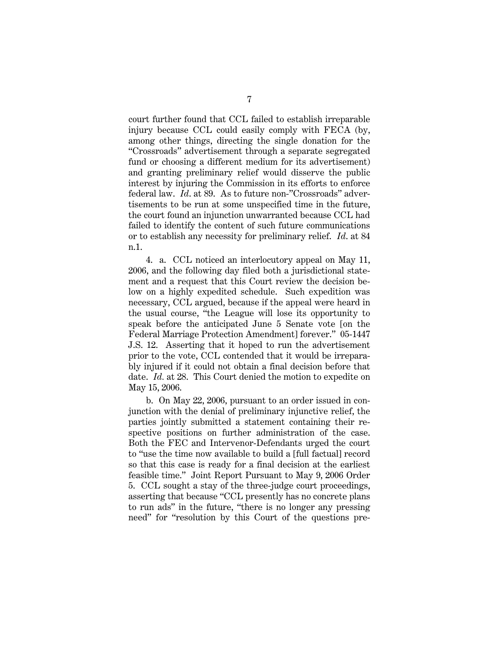court further found that CCL failed to establish irreparable injury because CCL could easily comply with FECA (by, among other things, directing the single donation for the "Crossroads" advertisement through a separate segregated fund or choosing a different medium for its advertisement) and granting preliminary relief would disserve the public interest by injuring the Commission in its efforts to enforce federal law. *Id*. at 89. As to future non-"Crossroads" advertisements to be run at some unspecified time in the future, the court found an injunction unwarranted because CCL had failed to identify the content of such future communications or to establish any necessity for preliminary relief. *Id*. at 84 n.1.

4. a. CCL noticed an interlocutory appeal on May 11, 2006, and the following day filed both a jurisdictional statement and a request that this Court review the decision below on a highly expedited schedule. Such expedition was necessary, CCL argued, because if the appeal were heard in the usual course, "the League will lose its opportunity to speak before the anticipated June 5 Senate vote [on the Federal Marriage Protection Amendment] forever." 05-1447 J.S. 12. Asserting that it hoped to run the advertisement prior to the vote, CCL contended that it would be irreparably injured if it could not obtain a final decision before that date. *Id.* at 28. This Court denied the motion to expedite on May 15, 2006.

b. On May 22, 2006, pursuant to an order issued in conjunction with the denial of preliminary injunctive relief, the parties jointly submitted a statement containing their respective positions on further administration of the case. Both the FEC and Intervenor-Defendants urged the court to "use the time now available to build a [full factual] record so that this case is ready for a final decision at the earliest feasible time." Joint Report Pursuant to May 9, 2006 Order 5. CCL sought a stay of the three-judge court proceedings, asserting that because "CCL presently has no concrete plans to run ads" in the future, "there is no longer any pressing need" for "resolution by this Court of the questions pre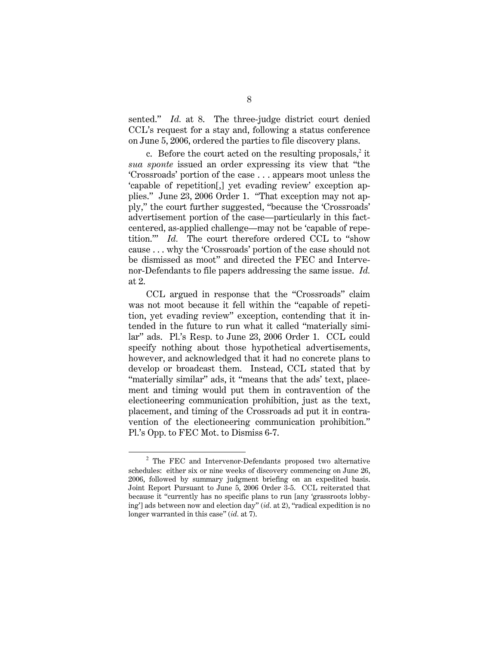sented." *Id.* at 8. The three-judge district court denied CCL's request for a stay and, following a status conference on June 5, 2006, ordered the parties to file discovery plans.

c. Before the court acted on the resulting proposals,<sup>2</sup> it *sua sponte* issued an order expressing its view that "the 'Crossroads' portion of the case . . . appears moot unless the 'capable of repetition[,] yet evading review' exception applies." June 23, 2006 Order 1. "That exception may not apply," the court further suggested, "because the 'Crossroads' advertisement portion of the case—particularly in this factcentered, as-applied challenge—may not be 'capable of repetition.'" *Id.* The court therefore ordered CCL to "show cause . . . why the 'Crossroads' portion of the case should not be dismissed as moot" and directed the FEC and Intervenor-Defendants to file papers addressing the same issue. *Id.* at 2.

CCL argued in response that the "Crossroads" claim was not moot because it fell within the "capable of repetition, yet evading review" exception, contending that it intended in the future to run what it called "materially similar" ads. Pl.'s Resp. to June 23, 2006 Order 1. CCL could specify nothing about those hypothetical advertisements, however, and acknowledged that it had no concrete plans to develop or broadcast them. Instead, CCL stated that by "materially similar" ads, it "means that the ads' text, placement and timing would put them in contravention of the electioneering communication prohibition, just as the text, placement, and timing of the Crossroads ad put it in contravention of the electioneering communication prohibition." Pl.'s Opp. to FEC Mot. to Dismiss 6-7.

1

<sup>&</sup>lt;sup>2</sup> The FEC and Intervenor-Defendants proposed two alternative schedules: either six or nine weeks of discovery commencing on June 26, 2006, followed by summary judgment briefing on an expedited basis. Joint Report Pursuant to June 5, 2006 Order 3-5. CCL reiterated that because it "currently has no specific plans to run [any 'grassroots lobbying'] ads between now and election day" (*id.* at 2), "radical expedition is no longer warranted in this case" (*id.* at 7).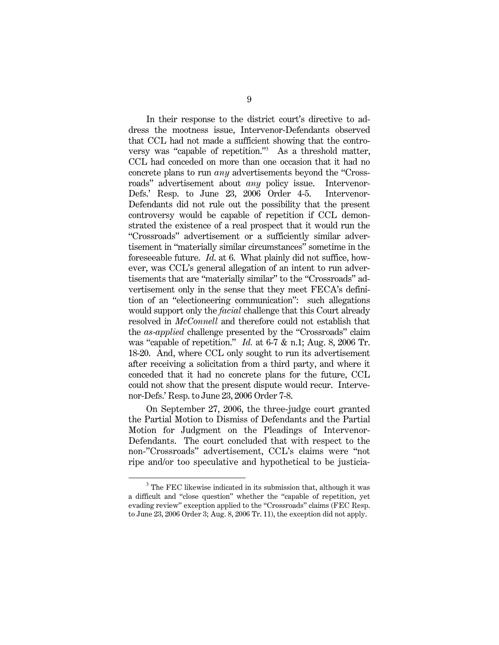In their response to the district court's directive to address the mootness issue, Intervenor-Defendants observed that CCL had not made a sufficient showing that the controversy was "capable of repetition." <sup>3</sup> As a threshold matter, CCL had conceded on more than one occasion that it had no concrete plans to run *any* advertisements beyond the "Crossroads" advertisement about *any* policy issue. Intervenor-Defs.' Resp. to June 23, 2006 Order 4-5. Intervenor-Defendants did not rule out the possibility that the present controversy would be capable of repetition if CCL demonstrated the existence of a real prospect that it would run the "Crossroads" advertisement or a sufficiently similar advertisement in "materially similar circumstances" sometime in the foreseeable future. *Id*. at 6. What plainly did not suffice, however, was CCL's general allegation of an intent to run advertisements that are "materially similar" to the "Crossroads" advertisement only in the sense that they meet FECA's definition of an "electioneering communication": such allegations would support only the *facial* challenge that this Court already resolved in *McConnell* and therefore could not establish that the *as-applied* challenge presented by the "Crossroads" claim was "capable of repetition." *Id.* at 6-7 & n.1; Aug. 8, 2006 Tr. 18-20. And, where CCL only sought to run its advertisement after receiving a solicitation from a third party, and where it conceded that it had no concrete plans for the future, CCL could not show that the present dispute would recur. Intervenor-Defs.' Resp. to June 23, 2006 Order 7-8.

On September 27, 2006, the three-judge court granted the Partial Motion to Dismiss of Defendants and the Partial Motion for Judgment on the Pleadings of Intervenor-Defendants. The court concluded that with respect to the non-"Crossroads" advertisement, CCL's claims were "not ripe and/or too speculative and hypothetical to be justicia-

 $\overline{a}$ 

 $3$  The FEC likewise indicated in its submission that, although it was a difficult and "close question" whether the "capable of repetition, yet evading review" exception applied to the "Crossroads" claims (FEC Resp. to June 23, 2006 Order 3; Aug. 8, 2006 Tr. 11), the exception did not apply.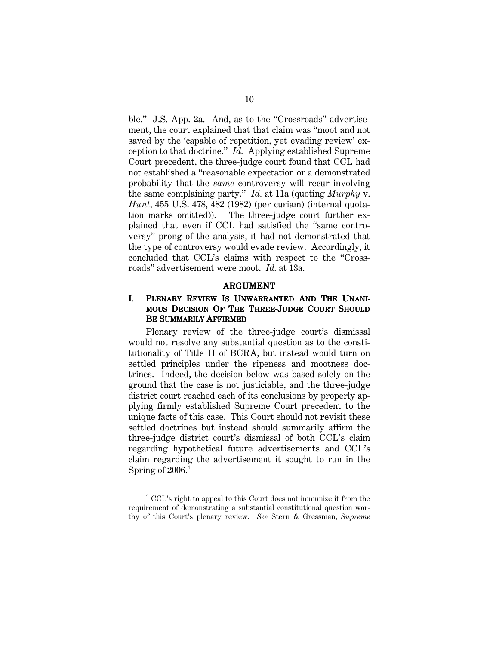ble." J.S. App. 2a. And, as to the "Crossroads" advertisement, the court explained that that claim was "moot and not saved by the 'capable of repetition, yet evading review' exception to that doctrine." *Id.* Applying established Supreme Court precedent, the three-judge court found that CCL had not established a "reasonable expectation or a demonstrated probability that the *same* controversy will recur involving the same complaining party." *Id.* at 11a (quoting *Murphy* v. *Hunt*, 455 U.S. 478, 482 (1982) (per curiam) (internal quotation marks omitted)). The three-judge court further explained that even if CCL had satisfied the "same controversy" prong of the analysis, it had not demonstrated that the type of controversy would evade review. Accordingly, it concluded that CCL's claims with respect to the "Crossroads" advertisement were moot. *Id.* at 13a.

#### ARGUMENT

#### I. PLENARY REVIEW IS UNWARRANTED AND THE UNANI-MOUS DECISION OF THE THREE-JUDGE COURT SHOULD BE SUMMARILY AFFIRMED

Plenary review of the three-judge court's dismissal would not resolve any substantial question as to the constitutionality of Title II of BCRA, but instead would turn on settled principles under the ripeness and mootness doctrines. Indeed, the decision below was based solely on the ground that the case is not justiciable, and the three-judge district court reached each of its conclusions by properly applying firmly established Supreme Court precedent to the unique facts of this case. This Court should not revisit these settled doctrines but instead should summarily affirm the three-judge district court's dismissal of both CCL's claim regarding hypothetical future advertisements and CCL's claim regarding the advertisement it sought to run in the Spring of 2006. 4

1

 $^4$  CCL's right to appeal to this Court does not immunize it from the  $\,$ requirement of demonstrating a substantial constitutional question worthy of this Court's plenary review. *See* Stern & Gressman, *Supreme*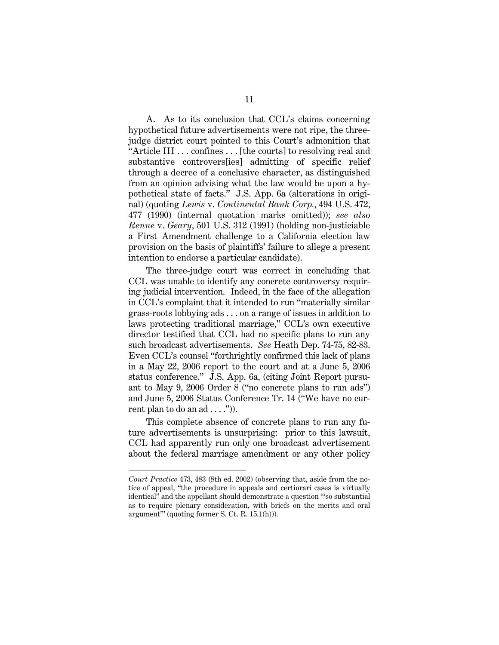A. As to its conclusion that CCL's claims concerning hypothetical future advertisements were not ripe, the threejudge district court pointed to this Court's admonition that "Article III . . . confines . . . [the courts] to resolving real and substantive controvers[ies] admitting of specific relief through a decree of a conclusive character, as distinguished from an opinion advising what the law would be upon a hypothetical state of facts." J.S. App. 6a (alterations in original) (quoting *Lewis* v. *Continental Bank Corp.*, 494 U.S. 472, 477 (1990) (internal quotation marks omitted)); *see also Renne* v. *Geary*, 501 U.S. 312 (1991) (holding non-justiciable a First Amendment challenge to a California election law provision on the basis of plaintiffs' failure to allege a present intention to endorse a particular candidate).

The three-judge court was correct in concluding that CCL was unable to identify any concrete controversy requiring judicial intervention. Indeed, in the face of the allegation in CCL's complaint that it intended to run "materially similar grass-roots lobbying ads . . . on a range of issues in addition to laws protecting traditional marriage," CCL's own executive director testified that CCL had no specific plans to run any such broadcast advertisements. *See* Heath Dep. 74-75, 82-83. Even CCL's counsel "forthrightly confirmed this lack of plans in a May 22, 2006 report to the court and at a June 5, 2006 status conference." J.S. App. 6a, (citing Joint Report pursuant to May 9, 2006 Order 8 ("no concrete plans to run ads") and June 5, 2006 Status Conference Tr. 14 ("We have no current plan to do an  $ad \ldots$ .").

This complete absence of concrete plans to run any future advertisements is unsurprising: prior to this lawsuit, CCL had apparently run only one broadcast advertisement about the federal marriage amendment or any other policy

 $\overline{a}$ 

*Court Practice* 473, 483 (8th ed. 2002) (observing that, aside from the notice of appeal, "the procedure in appeals and certiorari cases is virtually identical" and the appellant should demonstrate a question "'so substantial as to require plenary consideration, with briefs on the merits and oral argument'" (quoting former S. Ct. R. 15.1(h))).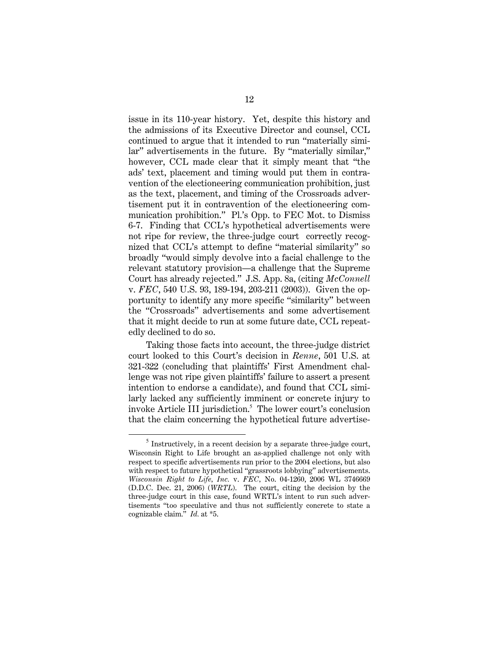issue in its 110-year history. Yet, despite this history and the admissions of its Executive Director and counsel, CCL continued to argue that it intended to run "materially similar" advertisements in the future. By "materially similar," however, CCL made clear that it simply meant that "the ads' text, placement and timing would put them in contravention of the electioneering communication prohibition, just as the text, placement, and timing of the Crossroads advertisement put it in contravention of the electioneering communication prohibition." Pl.'s Opp. to FEC Mot. to Dismiss 6-7. Finding that CCL's hypothetical advertisements were not ripe for review, the three-judge court correctly recognized that CCL's attempt to define "material similarity" so broadly "would simply devolve into a facial challenge to the relevant statutory provision—a challenge that the Supreme Court has already rejected." J.S. App. 8a, (citing *McConnell* v. *FEC*, 540 U.S. 93, 189-194, 203-211 (2003)). Given the opportunity to identify any more specific "similarity" between the "Crossroads" advertisements and some advertisement that it might decide to run at some future date, CCL repeatedly declined to do so.

Taking those facts into account, the three-judge district court looked to this Court's decision in *Renne*, 501 U.S. at 321-322 (concluding that plaintiffs' First Amendment challenge was not ripe given plaintiffs' failure to assert a present intention to endorse a candidate), and found that CCL similarly lacked any sufficiently imminent or concrete injury to invoke Article III jurisdiction. <sup>5</sup> The lower court's conclusion that the claim concerning the hypothetical future advertise-

 $\overline{a}$ 

 $<sup>5</sup>$  Instructively, in a recent decision by a separate three-judge court,</sup> Wisconsin Right to Life brought an as-applied challenge not only with respect to specific advertisements run prior to the 2004 elections, but also with respect to future hypothetical "grassroots lobbying" advertisements. *Wisconsin Right to Life, Inc.* v. *FEC,* No. 04-1260, 2006 WL 3746669 (D.D.C. Dec. 21, 2006) (*WRTL*). The court, citing the decision by the three-judge court in this case, found WRTL's intent to run such advertisements "too speculative and thus not sufficiently concrete to state a cognizable claim." *Id.* at \*5.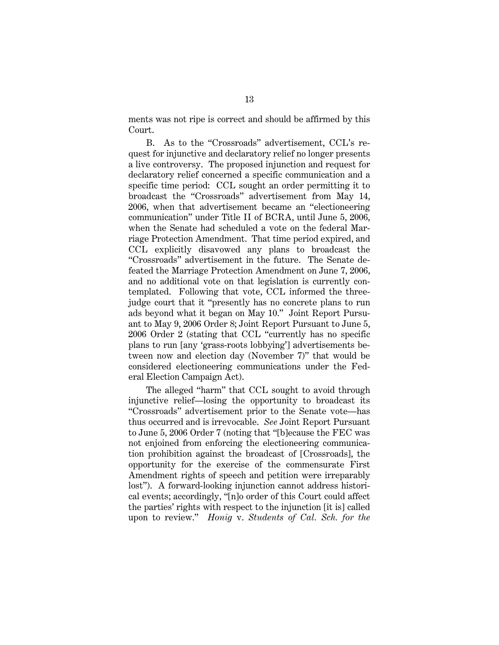ments was not ripe is correct and should be affirmed by this Court.

B. As to the "Crossroads" advertisement, CCL's request for injunctive and declaratory relief no longer presents a live controversy. The proposed injunction and request for declaratory relief concerned a specific communication and a specific time period: CCL sought an order permitting it to broadcast the "Crossroads" advertisement from May 14, 2006, when that advertisement became an "electioneering communication" under Title II of BCRA, until June 5, 2006, when the Senate had scheduled a vote on the federal Marriage Protection Amendment. That time period expired, and CCL explicitly disavowed any plans to broadcast the "Crossroads" advertisement in the future. The Senate defeated the Marriage Protection Amendment on June 7, 2006, and no additional vote on that legislation is currently contemplated. Following that vote, CCL informed the threejudge court that it "presently has no concrete plans to run ads beyond what it began on May 10." Joint Report Pursuant to May 9, 2006 Order 8; Joint Report Pursuant to June 5, 2006 Order 2 (stating that CCL "currently has no specific plans to run [any 'grass-roots lobbying'] advertisements between now and election day (November 7)" that would be considered electioneering communications under the Federal Election Campaign Act).

The alleged "harm" that CCL sought to avoid through injunctive relief—losing the opportunity to broadcast its "Crossroads" advertisement prior to the Senate vote—has thus occurred and is irrevocable. *See* Joint Report Pursuant to June 5, 2006 Order 7 (noting that "[b]ecause the FEC was not enjoined from enforcing the electioneering communication prohibition against the broadcast of [Crossroads], the opportunity for the exercise of the commensurate First Amendment rights of speech and petition were irreparably lost"). A forward-looking injunction cannot address historical events; accordingly, "[n]o order of this Court could affect the parties' rights with respect to the injunction [it is] called upon to review." *Honig* v. *Students of Cal. Sch. for the*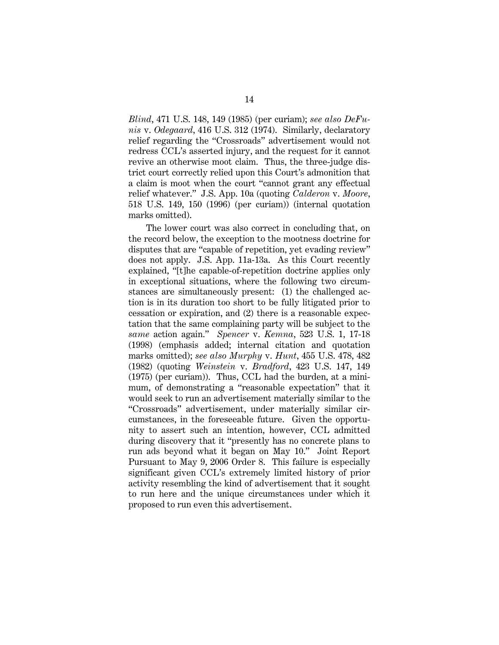*Blind*, 471 U.S. 148, 149 (1985) (per curiam); *see also DeFunis* v. *Odegaard*, 416 U.S. 312 (1974). Similarly, declaratory relief regarding the "Crossroads" advertisement would not redress CCL's asserted injury, and the request for it cannot revive an otherwise moot claim. Thus, the three-judge district court correctly relied upon this Court's admonition that a claim is moot when the court "cannot grant any effectual relief whatever." J.S. App. 10a (quoting *Calderon* v. *Moore*, 518 U.S. 149, 150 (1996) (per curiam)) (internal quotation marks omitted).

The lower court was also correct in concluding that, on the record below, the exception to the mootness doctrine for disputes that are "capable of repetition, yet evading review" does not apply. J.S. App. 11a-13a. As this Court recently explained, "[t]he capable-of-repetition doctrine applies only in exceptional situations, where the following two circumstances are simultaneously present: (1) the challenged action is in its duration too short to be fully litigated prior to cessation or expiration, and (2) there is a reasonable expectation that the same complaining party will be subject to the *same* action again." *Spencer* v. *Kemna*, 523 U.S. 1, 17-18 (1998) (emphasis added; internal citation and quotation marks omitted); *see also Murphy* v. *Hunt*, 455 U.S. 478, 482 (1982) (quoting *Weinstein* v. *Bradford*, 423 U.S. 147, 149 (1975) (per curiam)). Thus, CCL had the burden, at a minimum, of demonstrating a "reasonable expectation" that it would seek to run an advertisement materially similar to the "Crossroads" advertisement, under materially similar circumstances, in the foreseeable future. Given the opportunity to assert such an intention, however, CCL admitted during discovery that it "presently has no concrete plans to run ads beyond what it began on May 10." Joint Report Pursuant to May 9, 2006 Order 8. This failure is especially significant given CCL's extremely limited history of prior activity resembling the kind of advertisement that it sought to run here and the unique circumstances under which it proposed to run even this advertisement.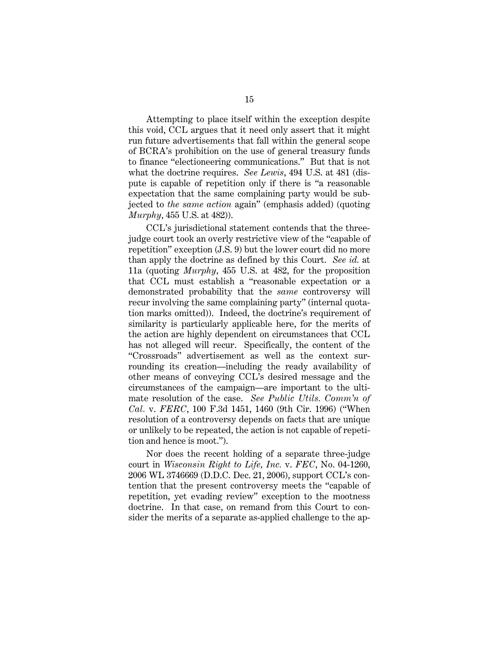Attempting to place itself within the exception despite this void, CCL argues that it need only assert that it might run future advertisements that fall within the general scope of BCRA's prohibition on the use of general treasury funds to finance "electioneering communications." But that is not what the doctrine requires. *See Lewis*, 494 U.S. at 481 (dispute is capable of repetition only if there is "a reasonable expectation that the same complaining party would be subjected to *the same action* again" (emphasis added) (quoting *Murphy*, 455 U.S. at 482)).

CCL's jurisdictional statement contends that the threejudge court took an overly restrictive view of the "capable of repetition" exception (J.S. 9) but the lower court did no more than apply the doctrine as defined by this Court. *See id.* at 11a (quoting *Murphy*, 455 U.S. at 482, for the proposition that CCL must establish a "reasonable expectation or a demonstrated probability that the *same* controversy will recur involving the same complaining party" (internal quotation marks omitted)). Indeed, the doctrine's requirement of similarity is particularly applicable here, for the merits of the action are highly dependent on circumstances that CCL has not alleged will recur. Specifically, the content of the "Crossroads" advertisement as well as the context surrounding its creation—including the ready availability of other means of conveying CCL's desired message and the circumstances of the campaign—are important to the ultimate resolution of the case. *See Public Utils. Comm'n of Cal.* v. *FERC*, 100 F.3d 1451, 1460 (9th Cir. 1996) ("When resolution of a controversy depends on facts that are unique or unlikely to be repeated, the action is not capable of repetition and hence is moot.").

Nor does the recent holding of a separate three-judge court in *Wisconsin Right to Life, Inc.* v. *FEC*, No. 04-1260, 2006 WL 3746669 (D.D.C. Dec. 21, 2006), support CCL's contention that the present controversy meets the "capable of repetition, yet evading review" exception to the mootness doctrine. In that case, on remand from this Court to consider the merits of a separate as-applied challenge to the ap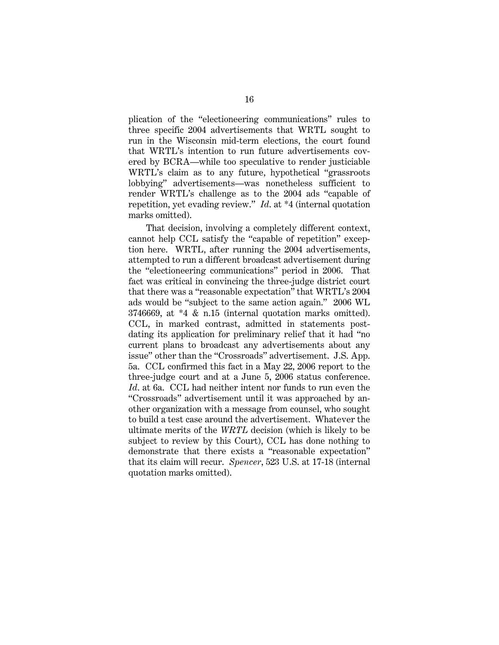plication of the "electioneering communications" rules to three specific 2004 advertisements that WRTL sought to run in the Wisconsin mid-term elections, the court found that WRTL's intention to run future advertisements covered by BCRA—while too speculative to render justiciable WRTL's claim as to any future, hypothetical "grassroots lobbying" advertisements—was nonetheless sufficient to render WRTL's challenge as to the 2004 ads "capable of repetition, yet evading review." *Id*. at \*4 (internal quotation marks omitted).

That decision, involving a completely different context, cannot help CCL satisfy the "capable of repetition" exception here. WRTL, after running the 2004 advertisements, attempted to run a different broadcast advertisement during the "electioneering communications" period in 2006. That fact was critical in convincing the three-judge district court that there was a "reasonable expectation" that WRTL's 2004 ads would be "subject to the same action again." 2006 WL 3746669, at \*4 & n.15 (internal quotation marks omitted). CCL, in marked contrast, admitted in statements postdating its application for preliminary relief that it had "no current plans to broadcast any advertisements about any issue" other than the "Crossroads" advertisement. J.S. App. 5a. CCL confirmed this fact in a May 22, 2006 report to the three-judge court and at a June 5, 2006 status conference. *Id*. at 6a. CCL had neither intent nor funds to run even the "Crossroads" advertisement until it was approached by another organization with a message from counsel, who sought to build a test case around the advertisement. Whatever the ultimate merits of the *WRTL* decision (which is likely to be subject to review by this Court), CCL has done nothing to demonstrate that there exists a "reasonable expectation" that its claim will recur. *Spencer*, 523 U.S. at 17-18 (internal quotation marks omitted).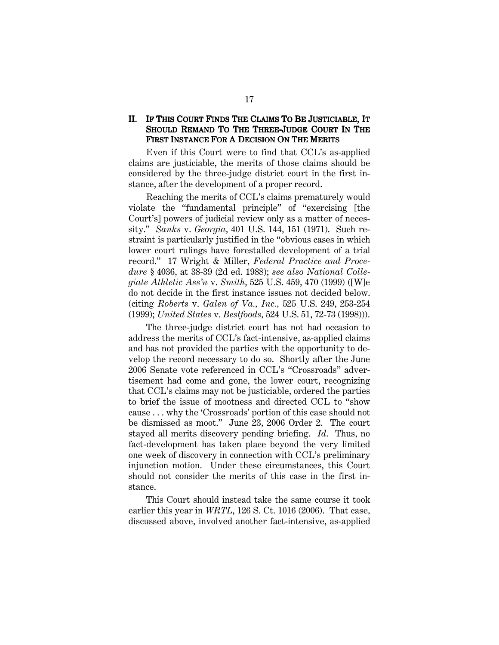### II. IF THIS COURT FINDS THE CLAIMS TO BE JUSTICIABLE, IT SHOULD REMAND TO THE THREE-JUDGE COURT IN THE FIRST INSTANCE FOR A DECISION ON THE MERITS

Even if this Court were to find that CCL's as-applied claims are justiciable, the merits of those claims should be considered by the three-judge district court in the first instance, after the development of a proper record.

Reaching the merits of CCL's claims prematurely would violate the "fundamental principle" of "exercising [the Court's] powers of judicial review only as a matter of necessity." *Sanks* v. *Georgia*, 401 U.S. 144, 151 (1971). Such restraint is particularly justified in the "obvious cases in which lower court rulings have forestalled development of a trial record." 17 Wright & Miller, *Federal Practice and Procedure* § 4036, at 38-39 (2d ed. 1988); *see also National Collegiate Athletic Ass'n* v. *Smith*, 525 U.S. 459, 470 (1999) ([W]e do not decide in the first instance issues not decided below. (citing *Roberts* v. *Galen of Va., Inc.,* 525 U.S. 249, 253-254 (1999); *United States* v. *Bestfoods,* 524 U.S. 51, 72-73 (1998))).

The three-judge district court has not had occasion to address the merits of CCL's fact-intensive, as-applied claims and has not provided the parties with the opportunity to develop the record necessary to do so. Shortly after the June 2006 Senate vote referenced in CCL's "Crossroads" advertisement had come and gone, the lower court, recognizing that CCL's claims may not be justiciable, ordered the parties to brief the issue of mootness and directed CCL to "show cause . . . why the 'Crossroads' portion of this case should not be dismissed as moot." June 23, 2006 Order 2. The court stayed all merits discovery pending briefing. *Id*. Thus, no fact-development has taken place beyond the very limited one week of discovery in connection with CCL's preliminary injunction motion. Under these circumstances, this Court should not consider the merits of this case in the first instance.

This Court should instead take the same course it took earlier this year in *WRTL*, 126 S. Ct. 1016 (2006). That case, discussed above, involved another fact-intensive, as-applied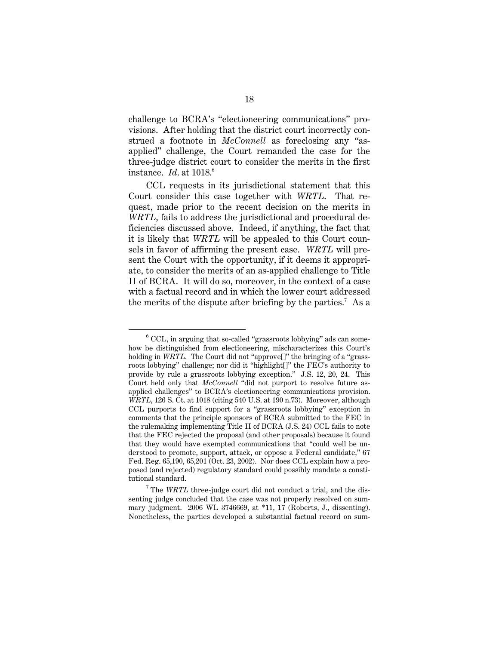challenge to BCRA's "electioneering communications" provisions. After holding that the district court incorrectly construed a footnote in *McConnell* as foreclosing any "asapplied" challenge, the Court remanded the case for the three-judge district court to consider the merits in the first instance. *Id*. at 1018. 6

CCL requests in its jurisdictional statement that this Court consider this case together with *WRTL*. That request, made prior to the recent decision on the merits in *WRTL*, fails to address the jurisdictional and procedural deficiencies discussed above. Indeed, if anything, the fact that it is likely that *WRTL* will be appealed to this Court counsels in favor of affirming the present case. *WRTL* will present the Court with the opportunity, if it deems it appropriate, to consider the merits of an as-applied challenge to Title II of BCRA. It will do so, moreover, in the context of a case with a factual record and in which the lower court addressed the merits of the dispute after briefing by the parties. <sup>7</sup> As a

 $\overline{a}$ 

 $6$  CCL, in arguing that so-called "grassroots lobbying" ads can somehow be distinguished from electioneering, mischaracterizes this Court's holding in *WRTL*. The Court did not "approve<sup>[]"</sup> the bringing of a "grassroots lobbying" challenge; nor did it "highlight[]" the FEC's authority to provide by rule a grassroots lobbying exception." J.S. 12, 20, 24. This Court held only that *McConnell* "did not purport to resolve future asapplied challenges" to BCRA's electioneering communications provision. *WRTL*, 126 S. Ct. at 1018 (citing 540 U.S. at 190 n.73). Moreover, although CCL purports to find support for a "grassroots lobbying" exception in comments that the principle sponsors of BCRA submitted to the FEC in the rulemaking implementing Title II of BCRA (J.S. 24) CCL fails to note that the FEC rejected the proposal (and other proposals) because it found that they would have exempted communications that "could well be understood to promote, support, attack, or oppose a Federal candidate," 67 Fed. Reg. 65,190, 65,201 (Oct. 23, 2002). Nor does CCL explain how a proposed (and rejected) regulatory standard could possibly mandate a constitutional standard.

<sup>&</sup>lt;sup>7</sup> The *WRTL* three-judge court did not conduct a trial, and the dissenting judge concluded that the case was not properly resolved on summary judgment. 2006 WL 3746669, at \*11, 17 (Roberts, J., dissenting). Nonetheless, the parties developed a substantial factual record on sum-